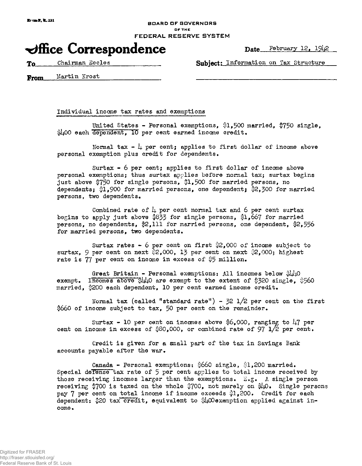### BOARD OF GOVERNORS OF THE FEDERAL RESERVE SYSTEM

# $\blacktriangleright$ ffice Correspondence Date February 12, 1942

To Chairman Eccles Subject; Information on Tax Structure

From Martin Krost

Individual income tax rates and exemptions

United States - Personal exemptions, \$1,500 married, \$750 single, \$400 each dependent, 10 per cent earned income credit.

Normal tax  $-$  4 per cent; applies to first dollar of income above personal exemption plus credit for dependents.

Surtax - 6 per cent; applies to first dollar of income above personal exemptions; thus surtax applies before normal tax; surtax begins just above \$750 for single persons, \$1,500 for married persons, no dependents; {1,900 for married persons, one dependent; \$2,300 for married persons, two dependents.

Combined rate of  $\mu$  per cent normal tax and 6 per cent surtax begins to apply just above \$833 for single persons, \$1,667 for married persons, no dependents, §2,111 for married persons, one dependent, \$2,556 for married persons, two dependents.

Surtax rates - 6 per cent on first  $2,000$  of income subject to surtax, 9 per cent on next  $2,000$ , 13 per cent on next  $2,000$ ; highest rate is  $77$  per cent on income in excess of  $$5$  million.

Great Britain - Personal exemptions: All incomes below  $\frac{1}{2}$ exempt. Incomes above  $\frac{1}{4}$  $\mu$ O are exempt to the extent of \$320 single, \$560 married, \$200 each dependent, 10 per cent earned income credit.

Normal tax (called "standard rate") -  $32$   $1/2$  per cent on the first |660 of income subject to tax, 50 per cent on the remainder.

Surtax - 10 per cent on incomes above  $6.000$ , ranging to 47 per cent on income in excess of  $$80,000$ , or combined rate of 97  $1/2$  per cent.

Credit is given for a small part of the tax in Savings Benk accounts payable after the war.

Canada - Personal exemptions:  $660$  single,  $1,200$  married. Special defense tax rate of 5 per cent applies to total income received by those receiving incomes larger than the exemptions. E.g. A single person receiving \$700 is taxed on the whole  $\frac{3}{9}700$ , not merely on  $\frac{1}{9}\mu$ . Single persons pay 7 per cent on total income if income exceeds \$1,200. Credit for each dependent:  $20 \text{ tax credit}$ , equivalent to  $400$ exemption applied against income.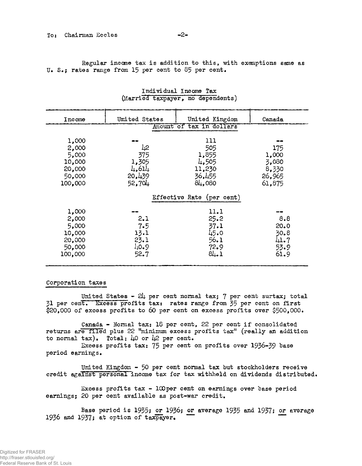Regular income tax is addition to this, with exemptions same as U. S.; rates range from 15 per cent to 85 per cent.

| Income                    | United States | United Kingdom | Canada |
|---------------------------|---------------|----------------|--------|
| Amount of tax in dollars  |               |                |        |
|                           |               |                |        |
| 1,000                     |               | 111            |        |
| 2,000                     | 42            | 505            | 175    |
| 5,000                     | 375           | 1,855          | 1,000  |
| 10,000                    | 1,305         | 4,505          | 3,080  |
| 20,000                    | 4,614         | 11,230         | 8,330  |
| 50,000                    | 20,439        | 36,455         | 26,965 |
| 100,000                   | 52,704        | 84,080         | 61,875 |
|                           |               |                |        |
| Effective Rate (per cent) |               |                |        |
|                           |               |                |        |
| 1,000                     |               | 11.1           |        |
| 2,000                     | 2.1           | 25.2           | 8.8    |
| 5,000                     | 7.5           | 37.1           | 20.0   |
| 10,000                    | 13.1          | 45.0           | 30.8   |
| 20,000                    | 23.1          | 56.1           | 41.7   |
| 50,000                    | 40.9          | 72.9           | 53.9   |
| 100,000                   | 52.7          | 84.1           | 61.9   |
|                           |               |                |        |

## Individual Income Tax (Married taxpayer, no dependents)

#### Corporation taxes

United States -  $2\mu$  per cent normal tax; 7 per cent surtax; total 31 per cent. Excess profits tax: rates range from 35 per cent on first \$20,000 of excess profits to 60 per cent on excess profits over \$500,000.

Canada - Normal tax; 18 per cent, 22 per cent if consolidated returns are filed plus 22 "minimum excess profits tax" (really an addition to normal tax). Total:  $\mu$ 0 or  $\mu$ 2 per cent.

Excess profits tax: 75 per cent on profits over 1936-39 base period earnings.

United Kingdom - 50 per cent normal tax but stockholders receive credit against personal income tax for tax withheld on dividends distributed.

Excess profits tax -  $100$  per cent on earnings over base period earnings; 20 per cent available as post-war credit.

Base period is  $1935$ ; or  $1936$ ; or average 1935 and 1937; or average 1936 and 1937; at option of taxpayer.